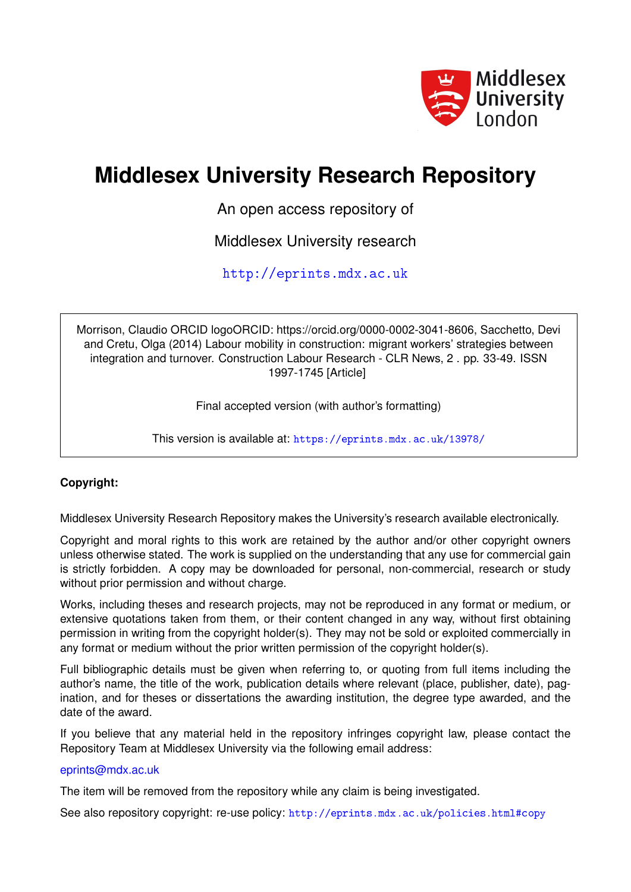

# **Middlesex University Research Repository**

An open access repository of

Middlesex University research

<http://eprints.mdx.ac.uk>

Morrison, Claudio ORCID logoORCID: https://orcid.org/0000-0002-3041-8606, Sacchetto, Devi and Cretu, Olga (2014) Labour mobility in construction: migrant workers' strategies between integration and turnover. Construction Labour Research - CLR News, 2 . pp. 33-49. ISSN 1997-1745 [Article]

Final accepted version (with author's formatting)

This version is available at: <https://eprints.mdx.ac.uk/13978/>

## **Copyright:**

Middlesex University Research Repository makes the University's research available electronically.

Copyright and moral rights to this work are retained by the author and/or other copyright owners unless otherwise stated. The work is supplied on the understanding that any use for commercial gain is strictly forbidden. A copy may be downloaded for personal, non-commercial, research or study without prior permission and without charge.

Works, including theses and research projects, may not be reproduced in any format or medium, or extensive quotations taken from them, or their content changed in any way, without first obtaining permission in writing from the copyright holder(s). They may not be sold or exploited commercially in any format or medium without the prior written permission of the copyright holder(s).

Full bibliographic details must be given when referring to, or quoting from full items including the author's name, the title of the work, publication details where relevant (place, publisher, date), pagination, and for theses or dissertations the awarding institution, the degree type awarded, and the date of the award.

If you believe that any material held in the repository infringes copyright law, please contact the Repository Team at Middlesex University via the following email address:

## [eprints@mdx.ac.uk](mailto:eprints@mdx.ac.uk)

The item will be removed from the repository while any claim is being investigated.

See also repository copyright: re-use policy: <http://eprints.mdx.ac.uk/policies.html#copy>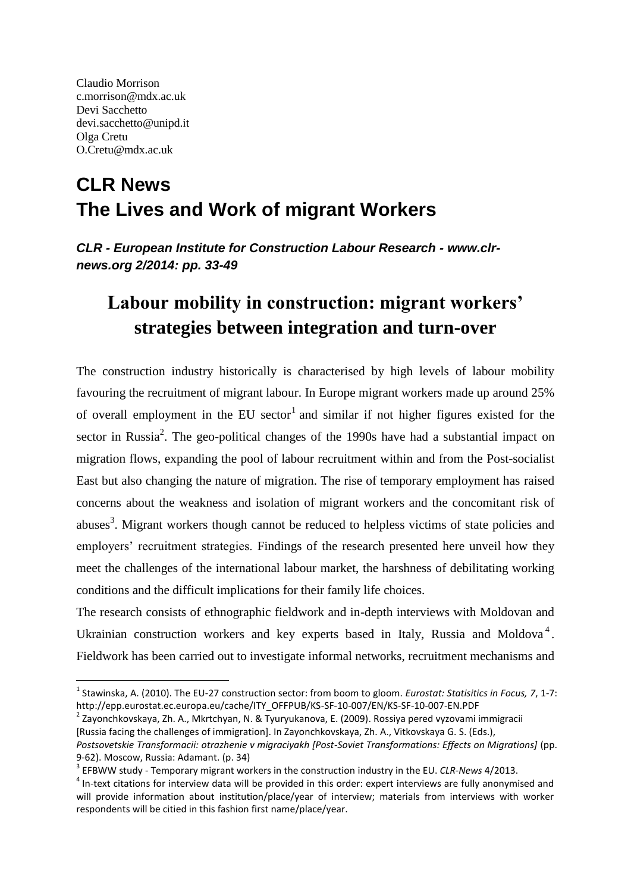Claudio Morrison c.morrison@mdx.ac.uk Devi Sacchetto devi.sacchetto@unipd.it Olga Cretu O.Cretu@mdx.ac.uk

**.** 

## **CLR News The Lives and Work of migrant Workers**

*CLR - European Institute for Construction Labour Research - www.clrnews.org 2/2014: pp. 33-49*

## **Labour mobility in construction: migrant workers' strategies between integration and turn-over**

The construction industry historically is characterised by high levels of labour mobility favouring the recruitment of migrant labour. In Europe migrant workers made up around 25% of overall employment in the EU sector<sup>1</sup> and similar if not higher figures existed for the sector in Russia<sup>2</sup>. The geo-political changes of the 1990s have had a substantial impact on migration flows, expanding the pool of labour recruitment within and from the Post-socialist East but also changing the nature of migration. The rise of temporary employment has raised concerns about the weakness and isolation of migrant workers and the concomitant risk of abuses<sup>3</sup>. Migrant workers though cannot be reduced to helpless victims of state policies and employers' recruitment strategies. Findings of the research presented here unveil how they meet the challenges of the international labour market, the harshness of debilitating working conditions and the difficult implications for their family life choices.

The research consists of ethnographic fieldwork and in-depth interviews with Moldovan and Ukrainian construction workers and key experts based in Italy, Russia and Moldova<sup>4</sup>. Fieldwork has been carried out to investigate informal networks, recruitment mechanisms and

<sup>1</sup> Stawinska, A. (2010). The EU-27 construction sector: from boom to gloom. *Eurostat: Statisitics in Focus, 7*, 1-7: http://epp.eurostat.ec.europa.eu/cache/ITY\_OFFPUB/KS-SF-10-007/EN/KS-SF-10-007-EN.PDF

<sup>&</sup>lt;sup>2</sup> Zayonchkovskaya, Zh. A., Mkrtchyan, N. & Tyuryukanova, E. (2009). Rossiya pered vyzovami immigracii [Russia facing the challenges of immigration]. In Zayonchkovskaya, Zh. A., Vitkovskaya G. S. (Eds.),

Postsovetskie Transformacii: otrazhenie v migraciyakh [Post-Soviet Transformations: Effects on Migrations] (pp. 9-62). Moscow, Russia: Adamant. (p. 34)

<sup>3</sup> EFBWW study - Temporary migrant workers in the construction industry in the EU. *CLR-News* 4/2013.

 $<sup>4</sup>$  In-text citations for interview data will be provided in this order: expert interviews are fully anonymised and</sup> will provide information about institution/place/year of interview; materials from interviews with worker respondents will be citied in this fashion first name/place/year.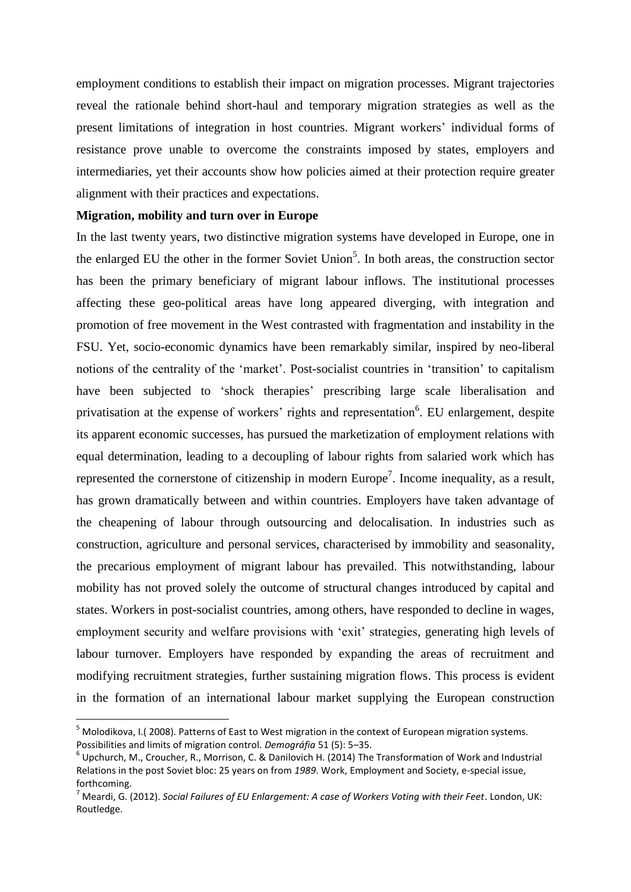employment conditions to establish their impact on migration processes. Migrant trajectories reveal the rationale behind short-haul and temporary migration strategies as well as the present limitations of integration in host countries. Migrant workers' individual forms of resistance prove unable to overcome the constraints imposed by states, employers and intermediaries, yet their accounts show how policies aimed at their protection require greater alignment with their practices and expectations.

### **Migration, mobility and turn over in Europe**

 $\overline{a}$ 

In the last twenty years, two distinctive migration systems have developed in Europe, one in the enlarged EU the other in the former Soviet Union<sup>5</sup>. In both areas, the construction sector has been the primary beneficiary of migrant labour inflows. The institutional processes affecting these geo-political areas have long appeared diverging, with integration and promotion of free movement in the West contrasted with fragmentation and instability in the FSU. Yet, socio-economic dynamics have been remarkably similar, inspired by neo-liberal notions of the centrality of the 'market'. Post-socialist countries in 'transition' to capitalism have been subjected to 'shock therapies' prescribing large scale liberalisation and privatisation at the expense of workers' rights and representation<sup>6</sup>. EU enlargement, despite its apparent economic successes, has pursued the marketization of employment relations with equal determination, leading to a decoupling of labour rights from salaried work which has represented the cornerstone of citizenship in modern Europe<sup>7</sup>. Income inequality, as a result, has grown dramatically between and within countries. Employers have taken advantage of the cheapening of labour through outsourcing and delocalisation. In industries such as construction, agriculture and personal services, characterised by immobility and seasonality, the precarious employment of migrant labour has prevailed. This notwithstanding, labour mobility has not proved solely the outcome of structural changes introduced by capital and states. Workers in post-socialist countries, among others, have responded to decline in wages, employment security and welfare provisions with 'exit' strategies, generating high levels of labour turnover. Employers have responded by expanding the areas of recruitment and modifying recruitment strategies, further sustaining migration flows. This process is evident in the formation of an international labour market supplying the European construction

<sup>&</sup>lt;sup>5</sup> Molodikova, I.( 2008). Patterns of East to West migration in the context of European migration systems. Possibilities and limits of migration control. *Demográfia* 51 (5): 5–35.

 $^6$  Upchurch, M., Croucher, R., Morrison, C. & Danilovich H. (2014) The Transformation of Work and Industrial Relations in the post Soviet bloc: 25 years on from *1989*. Work, Employment and Society, e-special issue, forthcoming.

<sup>7</sup> Meardi, G. (2012). *Social Failures of EU Enlargement: A case of Workers Voting with their Feet*. London, UK: Routledge.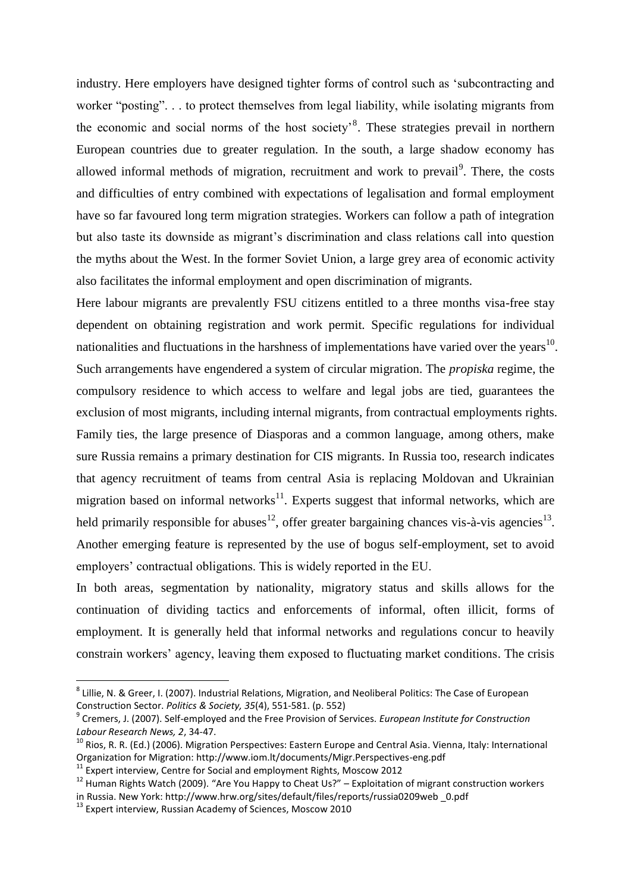industry. Here employers have designed tighter forms of control such as 'subcontracting and worker "posting". . . to protect themselves from legal liability, while isolating migrants from the economic and social norms of the host society<sup>8</sup>. These strategies prevail in northern European countries due to greater regulation. In the south, a large shadow economy has allowed informal methods of migration, recruitment and work to prevail<sup>9</sup>. There, the costs and difficulties of entry combined with expectations of legalisation and formal employment have so far favoured long term migration strategies. Workers can follow a path of integration but also taste its downside as migrant's discrimination and class relations call into question the myths about the West. In the former Soviet Union, a large grey area of economic activity also facilitates the informal employment and open discrimination of migrants.

Here labour migrants are prevalently FSU citizens entitled to a three months visa-free stay dependent on obtaining registration and work permit. Specific regulations for individual nationalities and fluctuations in the harshness of implementations have varied over the years $^{10}$ . Such arrangements have engendered a system of circular migration. The *propiska* regime, the compulsory residence to which access to welfare and legal jobs are tied, guarantees the exclusion of most migrants, including internal migrants, from contractual employments rights. Family ties, the large presence of Diasporas and a common language, among others, make sure Russia remains a primary destination for CIS migrants. In Russia too, research indicates that agency recruitment of teams from central Asia is replacing Moldovan and Ukrainian migration based on informal networks $<sup>11</sup>$ . Experts suggest that informal networks, which are</sup> held primarily responsible for abuses<sup>12</sup>, offer greater bargaining chances vis-à-vis agencies<sup>13</sup>. Another emerging feature is represented by the use of bogus self-employment, set to avoid employers' contractual obligations. This is widely reported in the EU.

In both areas, segmentation by nationality, migratory status and skills allows for the continuation of dividing tactics and enforcements of informal, often illicit, forms of employment. It is generally held that informal networks and regulations concur to heavily constrain workers' agency, leaving them exposed to fluctuating market conditions. The crisis

**.** 

<sup>&</sup>lt;sup>8</sup> Lillie, N. & Greer, I. (2007). Industrial Relations, Migration, and Neoliberal Politics: The Case of European Construction Sector. *Politics & Society, 35*(4), 551-581. (p. 552)

<sup>9</sup> Cremers, J. (2007). Self-employed and the Free Provision of Services. *European Institute for Construction Labour Research News, 2*, 34-47.

<sup>&</sup>lt;sup>10</sup> Rios, R. R. (Ed.) (2006). Migration Perspectives: Eastern Europe and Central Asia. Vienna, Italy: International Organization for Migration: http://www.iom.lt/documents/Migr.Perspectives-eng.pdf

<sup>&</sup>lt;sup>11</sup> Expert interview, Centre for Social and employment Rights, Moscow 2012

 $12$  Human Rights Watch (2009). "Are You Happy to Cheat Us?" – Exploitation of migrant construction workers in Russia. New York: http://www.hrw.org/sites/default/files/reports/russia0209web \_0.pdf

<sup>&</sup>lt;sup>13</sup> Expert interview. Russian Academy of Sciences, Moscow 2010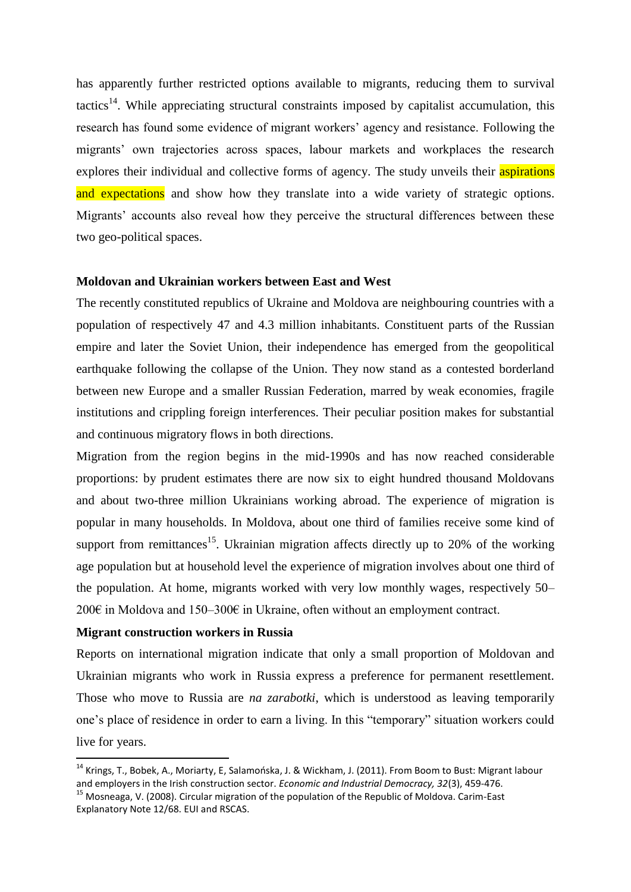has apparently further restricted options available to migrants, reducing them to survival tactics<sup>14</sup>. While appreciating structural constraints imposed by capitalist accumulation, this research has found some evidence of migrant workers' agency and resistance. Following the migrants' own trajectories across spaces, labour markets and workplaces the research explores their individual and collective forms of agency. The study unveils their **aspirations** and expectations and show how they translate into a wide variety of strategic options. Migrants' accounts also reveal how they perceive the structural differences between these two geo-political spaces.

#### **Moldovan and Ukrainian workers between East and West**

The recently constituted republics of Ukraine and Moldova are neighbouring countries with a population of respectively 47 and 4.3 million inhabitants. Constituent parts of the Russian empire and later the Soviet Union, their independence has emerged from the geopolitical earthquake following the collapse of the Union. They now stand as a contested borderland between new Europe and a smaller Russian Federation, marred by weak economies, fragile institutions and crippling foreign interferences. Their peculiar position makes for substantial and continuous migratory flows in both directions.

Migration from the region begins in the mid-1990s and has now reached considerable proportions: by prudent estimates there are now six to eight hundred thousand Moldovans and about two-three million Ukrainians working abroad. The experience of migration is popular in many households. In Moldova, about one third of families receive some kind of support from remittances<sup>15</sup>. Ukrainian migration affects directly up to 20% of the working age population but at household level the experience of migration involves about one third of the population. At home, migrants worked with very low monthly wages, respectively 50– 200€ in Moldova and 150–300€ in Ukraine, often without an employment contract.

#### **Migrant construction workers in Russia**

**.** 

Reports on international migration indicate that only a small proportion of Moldovan and Ukrainian migrants who work in Russia express a preference for permanent resettlement. Those who move to Russia are *na zarabotki*, which is understood as leaving temporarily one's place of residence in order to earn a living. In this "temporary" situation workers could live for years.

<sup>&</sup>lt;sup>14</sup> Krings, T., Bobek, A., Moriarty, E, Salamońska, J. & Wickham, J. (2011). From Boom to Bust: Migrant labour and employers in the Irish construction sector. *Economic and Industrial Democracy, 32*(3), 459-476.

<sup>&</sup>lt;sup>15</sup> Mosneaga, V. (2008). Circular migration of the population of the Republic of Moldova. Carim-East Explanatory Note 12/68. EUI and RSCAS.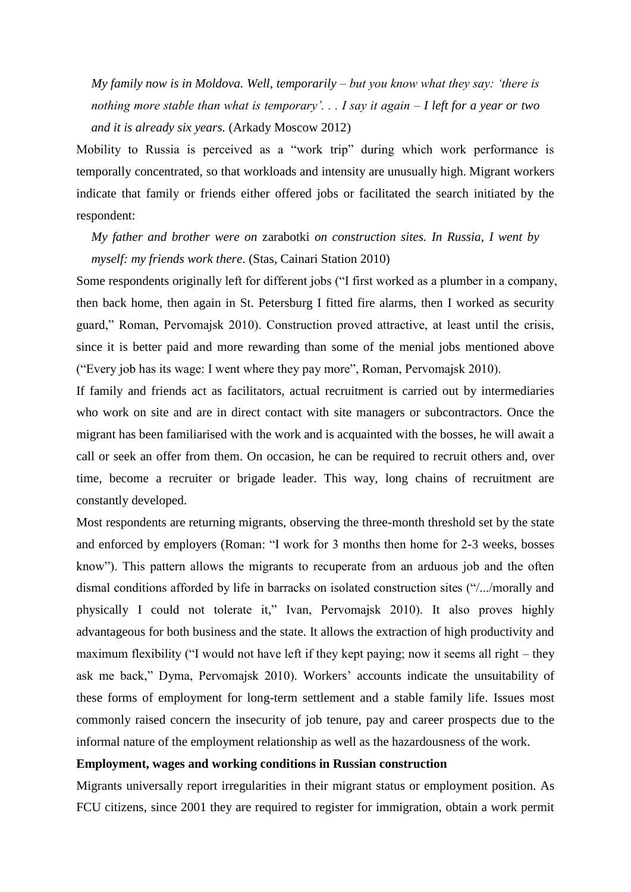*My family now is in Moldova. Well, temporarily – but you know what they say: 'there is nothing more stable than what is temporary'. . . I say it again – I left for a year or two and it is already six years.* (Arkady Moscow 2012)

Mobility to Russia is perceived as a "work trip" during which work performance is temporally concentrated, so that workloads and intensity are unusually high. Migrant workers indicate that family or friends either offered jobs or facilitated the search initiated by the respondent:

*My father and brother were on* zarabotki *on construction sites. In Russia, I went by myself: my friends work there*. (Stas, Cainari Station 2010)

Some respondents originally left for different jobs ("I first worked as a plumber in a company, then back home, then again in St. Petersburg I fitted fire alarms, then I worked as security guard," Roman, Pervomajsk 2010). Construction proved attractive, at least until the crisis, since it is better paid and more rewarding than some of the menial jobs mentioned above ("Every job has its wage: I went where they pay more", Roman, Pervomajsk 2010).

If family and friends act as facilitators, actual recruitment is carried out by intermediaries who work on site and are in direct contact with site managers or subcontractors. Once the migrant has been familiarised with the work and is acquainted with the bosses, he will await a call or seek an offer from them. On occasion, he can be required to recruit others and, over time, become a recruiter or brigade leader. This way, long chains of recruitment are constantly developed.

Most respondents are returning migrants, observing the three-month threshold set by the state and enforced by employers (Roman: "I work for 3 months then home for 2-3 weeks, bosses know"). This pattern allows the migrants to recuperate from an arduous job and the often dismal conditions afforded by life in barracks on isolated construction sites ("/.../morally and physically I could not tolerate it," Ivan, Pervomajsk 2010). It also proves highly advantageous for both business and the state. It allows the extraction of high productivity and maximum flexibility ("I would not have left if they kept paying; now it seems all right – they ask me back," Dyma, Pervomajsk 2010). Workers' accounts indicate the unsuitability of these forms of employment for long-term settlement and a stable family life. Issues most commonly raised concern the insecurity of job tenure, pay and career prospects due to the informal nature of the employment relationship as well as the hazardousness of the work.

#### **Employment, wages and working conditions in Russian construction**

Migrants universally report irregularities in their migrant status or employment position. As FCU citizens, since 2001 they are required to register for immigration, obtain a work permit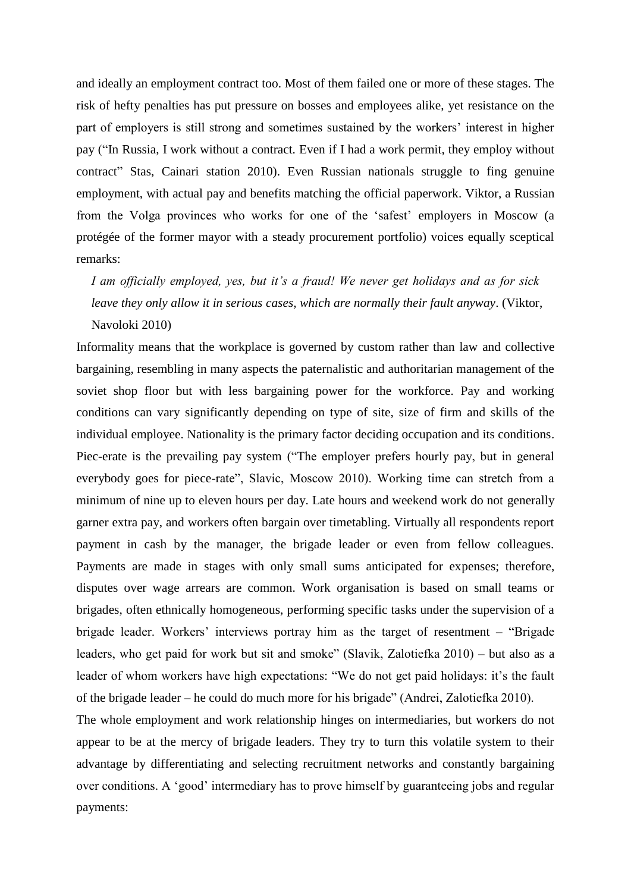and ideally an employment contract too. Most of them failed one or more of these stages. The risk of hefty penalties has put pressure on bosses and employees alike, yet resistance on the part of employers is still strong and sometimes sustained by the workers' interest in higher pay ("In Russia, I work without a contract. Even if I had a work permit, they employ without contract" Stas, Cainari station 2010). Even Russian nationals struggle to fing genuine employment, with actual pay and benefits matching the official paperwork. Viktor, a Russian from the Volga provinces who works for one of the 'safest' employers in Moscow (a protégée of the former mayor with a steady procurement portfolio) voices equally sceptical remarks:

*I am officially employed, yes, but it's a fraud! We never get holidays and as for sick leave they only allow it in serious cases, which are normally their fault anyway*. (Viktor, Navoloki 2010)

Informality means that the workplace is governed by custom rather than law and collective bargaining, resembling in many aspects the paternalistic and authoritarian management of the soviet shop floor but with less bargaining power for the workforce. Pay and working conditions can vary significantly depending on type of site, size of firm and skills of the individual employee. Nationality is the primary factor deciding occupation and its conditions. Piec-erate is the prevailing pay system ("The employer prefers hourly pay, but in general everybody goes for piece-rate", Slavic, Moscow 2010). Working time can stretch from a minimum of nine up to eleven hours per day. Late hours and weekend work do not generally garner extra pay, and workers often bargain over timetabling. Virtually all respondents report payment in cash by the manager, the brigade leader or even from fellow colleagues. Payments are made in stages with only small sums anticipated for expenses; therefore, disputes over wage arrears are common. Work organisation is based on small teams or brigades, often ethnically homogeneous, performing specific tasks under the supervision of a brigade leader. Workers' interviews portray him as the target of resentment – "Brigade leaders, who get paid for work but sit and smoke" (Slavik, Zalotiefka 2010) – but also as a leader of whom workers have high expectations: "We do not get paid holidays: it's the fault of the brigade leader – he could do much more for his brigade" (Andrei, Zalotiefka 2010).

The whole employment and work relationship hinges on intermediaries, but workers do not appear to be at the mercy of brigade leaders. They try to turn this volatile system to their advantage by differentiating and selecting recruitment networks and constantly bargaining over conditions. A 'good' intermediary has to prove himself by guaranteeing jobs and regular payments: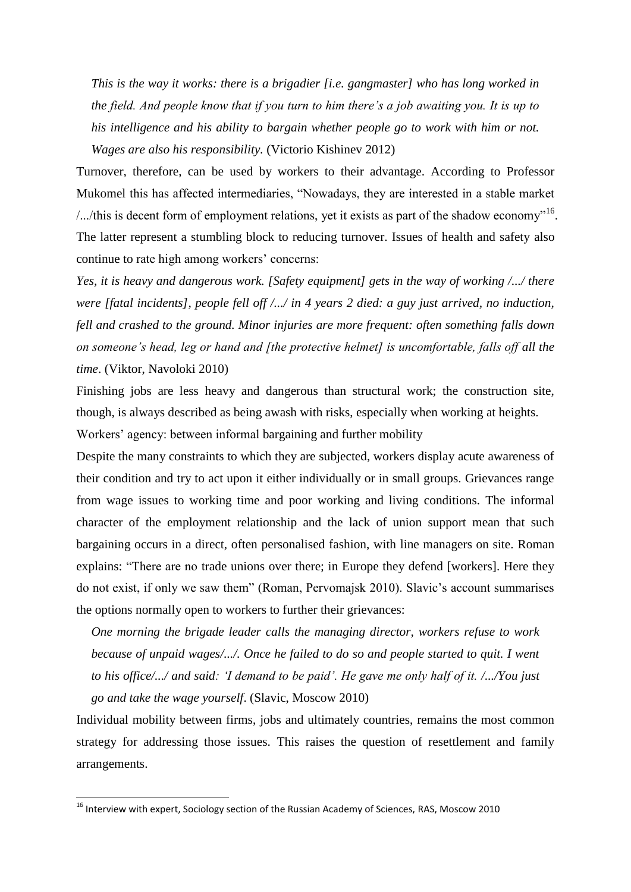*This is the way it works: there is a brigadier [i.e. gangmaster] who has long worked in the field. And people know that if you turn to him there's a job awaiting you. It is up to his intelligence and his ability to bargain whether people go to work with him or not. Wages are also his responsibility.* (Victorio Kishinev 2012)

Turnover, therefore, can be used by workers to their advantage. According to Professor Mukomel this has affected intermediaries, "Nowadays, they are interested in a stable market ..../this is decent form of employment relations, yet it exists as part of the shadow economy<sup> $16$ </sup>. The latter represent a stumbling block to reducing turnover. Issues of health and safety also continue to rate high among workers' concerns:

*Yes, it is heavy and dangerous work. [Safety equipment] gets in the way of working /.../ there were [fatal incidents], people fell off /.../ in 4 years 2 died: a guy just arrived, no induction, fell and crashed to the ground. Minor injuries are more frequent: often something falls down on someone's head, leg or hand and [the protective helmet] is uncomfortable, falls off all the time*. (Viktor, Navoloki 2010)

Finishing jobs are less heavy and dangerous than structural work; the construction site, though, is always described as being awash with risks, especially when working at heights. Workers' agency: between informal bargaining and further mobility

Despite the many constraints to which they are subjected, workers display acute awareness of their condition and try to act upon it either individually or in small groups. Grievances range from wage issues to working time and poor working and living conditions. The informal character of the employment relationship and the lack of union support mean that such bargaining occurs in a direct, often personalised fashion, with line managers on site. Roman explains: "There are no trade unions over there; in Europe they defend [workers]. Here they do not exist, if only we saw them" (Roman, Pervomajsk 2010). Slavic's account summarises the options normally open to workers to further their grievances:

*One morning the brigade leader calls the managing director, workers refuse to work because of unpaid wages/.../. Once he failed to do so and people started to quit. I went to his office/.../ and said: 'I demand to be paid'. He gave me only half of it. /.../You just go and take the wage yourself*. (Slavic, Moscow 2010)

Individual mobility between firms, jobs and ultimately countries, remains the most common strategy for addressing those issues. This raises the question of resettlement and family arrangements.

**.** 

<sup>&</sup>lt;sup>16</sup> Interview with expert, Sociology section of the Russian Academy of Sciences, RAS, Moscow 2010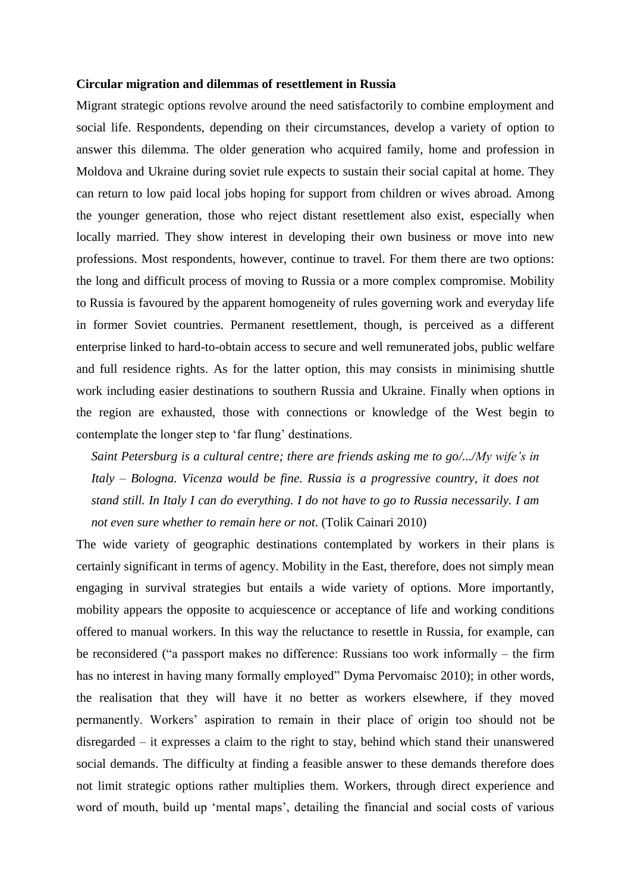#### **Circular migration and dilemmas of resettlement in Russia**

Migrant strategic options revolve around the need satisfactorily to combine employment and social life. Respondents, depending on their circumstances, develop a variety of option to answer this dilemma. The older generation who acquired family, home and profession in Moldova and Ukraine during soviet rule expects to sustain their social capital at home. They can return to low paid local jobs hoping for support from children or wives abroad. Among the younger generation, those who reject distant resettlement also exist, especially when locally married. They show interest in developing their own business or move into new professions. Most respondents, however, continue to travel. For them there are two options: the long and difficult process of moving to Russia or a more complex compromise. Mobility to Russia is favoured by the apparent homogeneity of rules governing work and everyday life in former Soviet countries. Permanent resettlement, though, is perceived as a different enterprise linked to hard-to-obtain access to secure and well remunerated jobs, public welfare and full residence rights. As for the latter option, this may consists in minimising shuttle work including easier destinations to southern Russia and Ukraine. Finally when options in the region are exhausted, those with connections or knowledge of the West begin to contemplate the longer step to 'far flung' destinations.

*Saint Petersburg is a cultural centre; there are friends asking me to go/.../My wife's in Italy – Bologna. Vicenza would be fine. Russia is a progressive country, it does not stand still. In Italy I can do everything. I do not have to go to Russia necessarily. I am not even sure whether to remain here or not*. (Tolik Cainari 2010)

The wide variety of geographic destinations contemplated by workers in their plans is certainly significant in terms of agency. Mobility in the East, therefore, does not simply mean engaging in survival strategies but entails a wide variety of options. More importantly, mobility appears the opposite to acquiescence or acceptance of life and working conditions offered to manual workers. In this way the reluctance to resettle in Russia, for example, can be reconsidered ("a passport makes no difference: Russians too work informally – the firm has no interest in having many formally employed" Dyma Pervomaisc 2010); in other words, the realisation that they will have it no better as workers elsewhere, if they moved permanently. Workers' aspiration to remain in their place of origin too should not be disregarded – it expresses a claim to the right to stay, behind which stand their unanswered social demands. The difficulty at finding a feasible answer to these demands therefore does not limit strategic options rather multiplies them. Workers, through direct experience and word of mouth, build up 'mental maps', detailing the financial and social costs of various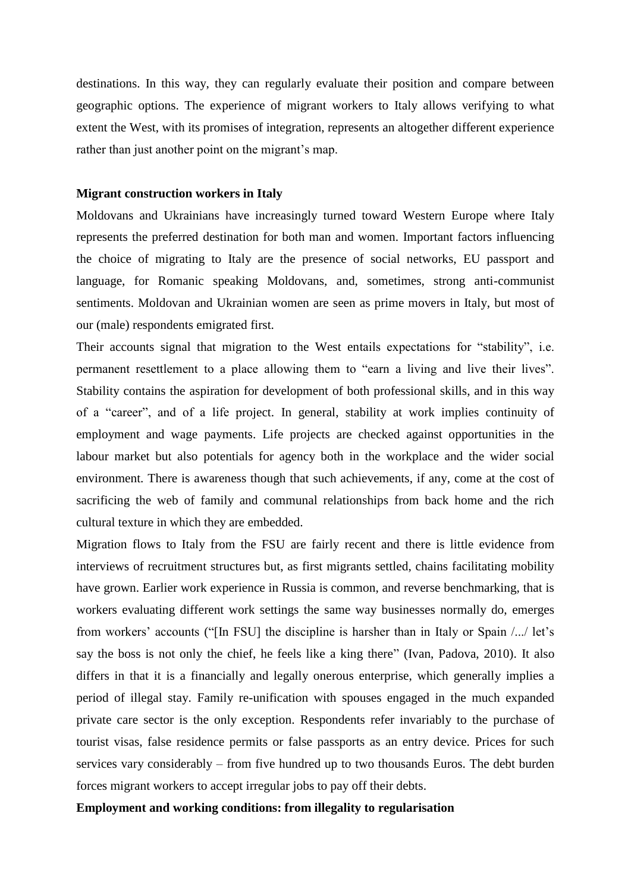destinations. In this way, they can regularly evaluate their position and compare between geographic options. The experience of migrant workers to Italy allows verifying to what extent the West, with its promises of integration, represents an altogether different experience rather than just another point on the migrant's map.

#### **Migrant construction workers in Italy**

Moldovans and Ukrainians have increasingly turned toward Western Europe where Italy represents the preferred destination for both man and women. Important factors influencing the choice of migrating to Italy are the presence of social networks, EU passport and language, for Romanic speaking Moldovans, and, sometimes, strong anti-communist sentiments. Moldovan and Ukrainian women are seen as prime movers in Italy, but most of our (male) respondents emigrated first.

Their accounts signal that migration to the West entails expectations for "stability", i.e. permanent resettlement to a place allowing them to "earn a living and live their lives". Stability contains the aspiration for development of both professional skills, and in this way of a "career", and of a life project. In general, stability at work implies continuity of employment and wage payments. Life projects are checked against opportunities in the labour market but also potentials for agency both in the workplace and the wider social environment. There is awareness though that such achievements, if any, come at the cost of sacrificing the web of family and communal relationships from back home and the rich cultural texture in which they are embedded.

Migration flows to Italy from the FSU are fairly recent and there is little evidence from interviews of recruitment structures but, as first migrants settled, chains facilitating mobility have grown. Earlier work experience in Russia is common, and reverse benchmarking, that is workers evaluating different work settings the same way businesses normally do, emerges from workers' accounts ("[In FSU] the discipline is harsher than in Italy or Spain /.../ let's say the boss is not only the chief, he feels like a king there" (Ivan, Padova, 2010). It also differs in that it is a financially and legally onerous enterprise, which generally implies a period of illegal stay. Family re-unification with spouses engaged in the much expanded private care sector is the only exception. Respondents refer invariably to the purchase of tourist visas, false residence permits or false passports as an entry device. Prices for such services vary considerably – from five hundred up to two thousands Euros. The debt burden forces migrant workers to accept irregular jobs to pay off their debts.

## **Employment and working conditions: from illegality to regularisation**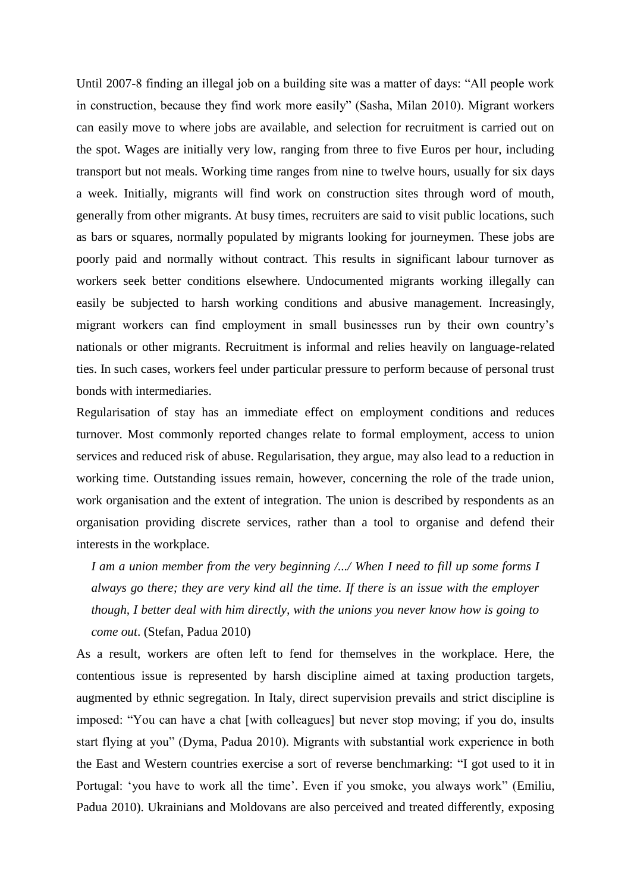Until 2007-8 finding an illegal job on a building site was a matter of days: "All people work in construction, because they find work more easily" (Sasha, Milan 2010). Migrant workers can easily move to where jobs are available, and selection for recruitment is carried out on the spot. Wages are initially very low, ranging from three to five Euros per hour, including transport but not meals. Working time ranges from nine to twelve hours, usually for six days a week. Initially, migrants will find work on construction sites through word of mouth, generally from other migrants. At busy times, recruiters are said to visit public locations, such as bars or squares, normally populated by migrants looking for journeymen. These jobs are poorly paid and normally without contract. This results in significant labour turnover as workers seek better conditions elsewhere. Undocumented migrants working illegally can easily be subjected to harsh working conditions and abusive management. Increasingly, migrant workers can find employment in small businesses run by their own country's nationals or other migrants. Recruitment is informal and relies heavily on language-related ties. In such cases, workers feel under particular pressure to perform because of personal trust bonds with intermediaries.

Regularisation of stay has an immediate effect on employment conditions and reduces turnover. Most commonly reported changes relate to formal employment, access to union services and reduced risk of abuse. Regularisation, they argue, may also lead to a reduction in working time. Outstanding issues remain, however, concerning the role of the trade union, work organisation and the extent of integration. The union is described by respondents as an organisation providing discrete services, rather than a tool to organise and defend their interests in the workplace.

*I am a union member from the very beginning /.../ When I need to fill up some forms I always go there; they are very kind all the time. If there is an issue with the employer though, I better deal with him directly, with the unions you never know how is going to come out*. (Stefan, Padua 2010)

As a result, workers are often left to fend for themselves in the workplace. Here, the contentious issue is represented by harsh discipline aimed at taxing production targets, augmented by ethnic segregation. In Italy, direct supervision prevails and strict discipline is imposed: "You can have a chat [with colleagues] but never stop moving; if you do, insults start flying at you" (Dyma, Padua 2010). Migrants with substantial work experience in both the East and Western countries exercise a sort of reverse benchmarking: "I got used to it in Portugal: 'you have to work all the time'. Even if you smoke, you always work" (Emiliu, Padua 2010). Ukrainians and Moldovans are also perceived and treated differently, exposing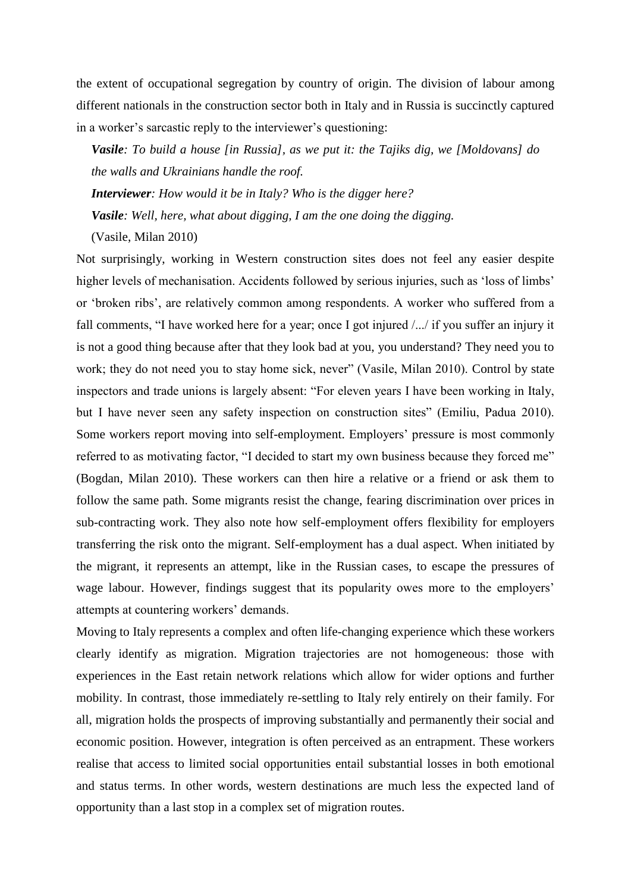the extent of occupational segregation by country of origin. The division of labour among different nationals in the construction sector both in Italy and in Russia is succinctly captured in a worker's sarcastic reply to the interviewer's questioning:

*Vasile: To build a house [in Russia], as we put it: the Tajiks dig, we [Moldovans] do the walls and Ukrainians handle the roof.*

*Interviewer: How would it be in Italy? Who is the digger here?* 

*Vasile: Well, here, what about digging, I am the one doing the digging.*

(Vasile, Milan 2010)

Not surprisingly, working in Western construction sites does not feel any easier despite higher levels of mechanisation. Accidents followed by serious injuries, such as 'loss of limbs' or 'broken ribs', are relatively common among respondents. A worker who suffered from a fall comments, "I have worked here for a year; once I got injured /.../ if you suffer an injury it is not a good thing because after that they look bad at you, you understand? They need you to work; they do not need you to stay home sick, never" (Vasile, Milan 2010). Control by state inspectors and trade unions is largely absent: "For eleven years I have been working in Italy, but I have never seen any safety inspection on construction sites" (Emiliu, Padua 2010). Some workers report moving into self-employment. Employers' pressure is most commonly referred to as motivating factor, "I decided to start my own business because they forced me" (Bogdan, Milan 2010). These workers can then hire a relative or a friend or ask them to follow the same path. Some migrants resist the change, fearing discrimination over prices in sub-contracting work. They also note how self-employment offers flexibility for employers transferring the risk onto the migrant. Self-employment has a dual aspect. When initiated by the migrant, it represents an attempt, like in the Russian cases, to escape the pressures of wage labour. However, findings suggest that its popularity owes more to the employers' attempts at countering workers' demands.

Moving to Italy represents a complex and often life-changing experience which these workers clearly identify as migration. Migration trajectories are not homogeneous: those with experiences in the East retain network relations which allow for wider options and further mobility. In contrast, those immediately re-settling to Italy rely entirely on their family. For all, migration holds the prospects of improving substantially and permanently their social and economic position. However, integration is often perceived as an entrapment. These workers realise that access to limited social opportunities entail substantial losses in both emotional and status terms. In other words, western destinations are much less the expected land of opportunity than a last stop in a complex set of migration routes.